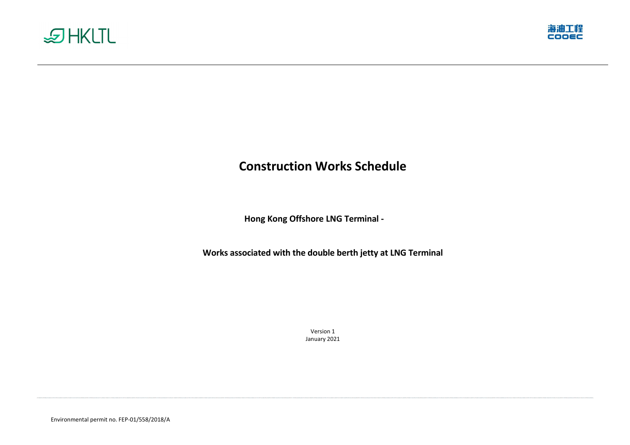Environmental permit no. FEP-01/558/2018/A





# **Construction Works Schedule**

**Hong Kong Offshore LNG Terminal -**

**Works associated with the double berth jetty at LNG Terminal**

Version 1 January 2021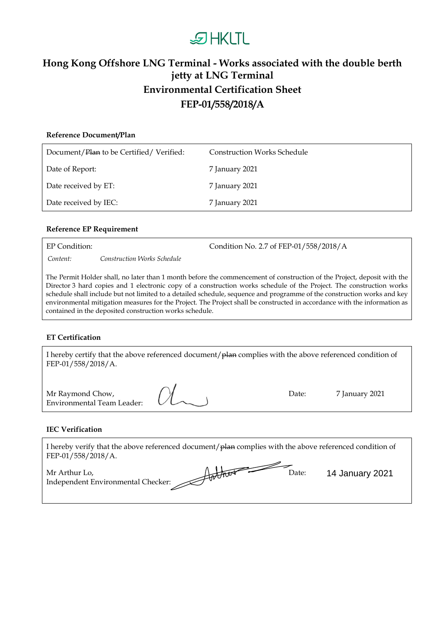## **DHKLTL**

### **Hong Kong Offshore LNG Terminal - Works associated with the double berth jetty at LNG Terminal Environmental Certification Sheet FEP-01/558/2018/A**

| Reference Document/Plan                 |                                    |
|-----------------------------------------|------------------------------------|
| Document/Plan to be Certified/Verified: | <b>Construction Works Schedule</b> |
| Date of Report:                         | 7 January 2021                     |
| Date received by ET:                    | 7 January 2021                     |
| Date received by IEC:                   | 7 January 2021                     |

#### **Reference EP Requirement**

EP Condition: Condition No. 2.7 of FEP-01/558/2018/A

*Content: Construction Works Schedule*

The Permit Holder shall, no later than 1 month before the commencement of construction of the Project, deposit with the Director 3 hard copies and 1 electronic copy of a construction works schedule of the Project. The construction works schedule shall include but not limited to a detailed schedule, sequence and programme of the construction works and key environmental mitigation measures for the Project. The Project shall be constructed in accordance with the information as contained in the deposited construction works schedule.

#### **ET Certification**

I hereby certify that the above referenced document/plan complies with the above referenced condition of FEP-01/558/2018/A.

| Mr Raymond Chow,           |              |
|----------------------------|--------------|
| Environmental Team Leader: | $1/\sqrt{2}$ |

Date: 7 January 2021

#### **IEC Verification**

I hereby verify that the above referenced document/ $\theta$ lan complies with the above referenced condition of FEP-01/558/2018/A.

Mr Arthur Lo, Independent Environmental Checker:  $\overline{\text{D}}$ ate: 14 January 2021